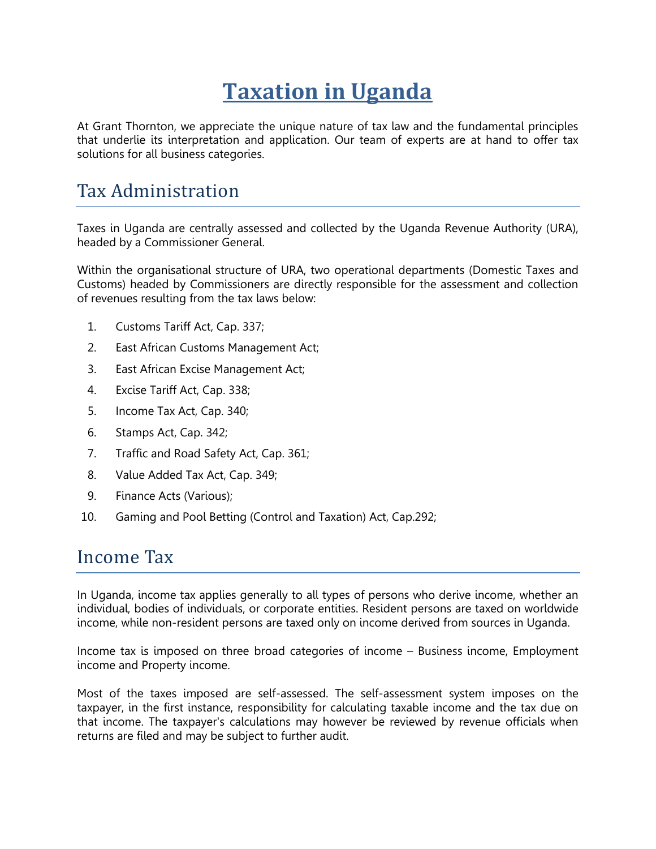# **Taxation in Uganda**

At Grant Thornton, we appreciate the unique nature of tax law and the fundamental principles that underlie its interpretation and application. Our team of experts are at hand to offer tax solutions for all business categories.

### Tax Administration

Taxes in Uganda are centrally assessed and collected by the Uganda Revenue Authority (URA), headed by a Commissioner General.

Within the organisational structure of URA, two operational departments (Domestic Taxes and Customs) headed by Commissioners are directly responsible for the assessment and collection of revenues resulting from the tax laws below:

- 1. Customs Tariff Act, Cap. 337;
- 2. East African Customs Management Act;
- 3. East African Excise Management Act;
- 4. Excise Tariff Act, Cap. 338;
- 5. Income Tax Act, Cap. 340;
- 6. Stamps Act, Cap. 342;
- 7. Traffic and Road Safety Act, Cap. 361;
- 8. Value Added Tax Act, Cap. 349;
- 9. Finance Acts (Various);
- 10. Gaming and Pool Betting (Control and Taxation) Act, Cap.292;

### Income Tax

In Uganda, income tax applies generally to all types of persons who derive income, whether an individual, bodies of individuals, or corporate entities. Resident persons are taxed on worldwide income, while non-resident persons are taxed only on income derived from sources in Uganda.

Income tax is imposed on three broad categories of income – Business income, Employment income and Property income.

Most of the taxes imposed are self-assessed. The self-assessment system imposes on the taxpayer, in the first instance, responsibility for calculating taxable income and the tax due on that income. The taxpayer's calculations may however be reviewed by revenue officials when returns are filed and may be subject to further audit.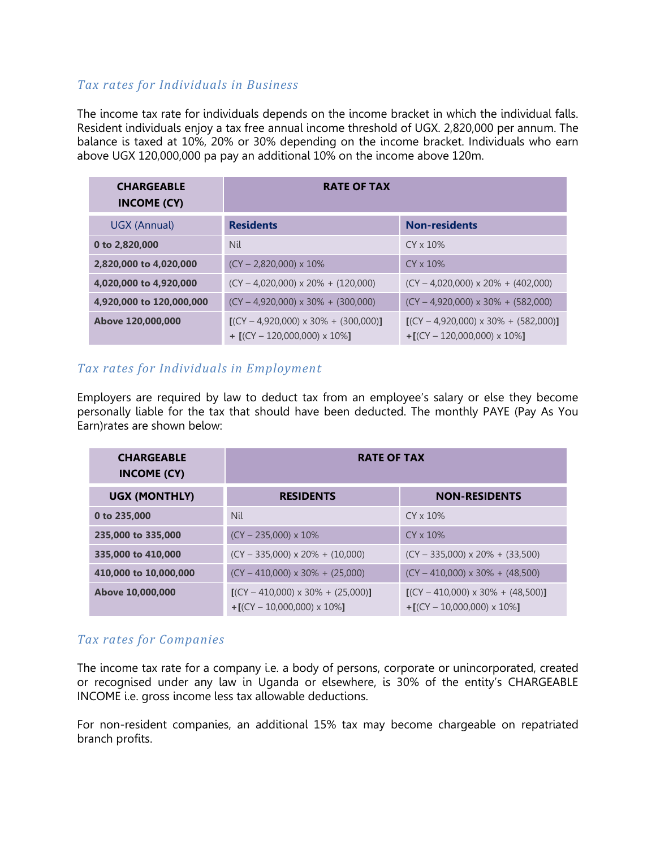### *Tax rates for Individuals in Business*

The income tax rate for individuals depends on the income bracket in which the individual falls. Resident individuals enjoy a tax free annual income threshold of UGX. 2,820,000 per annum. The balance is taxed at 10%, 20% or 30% depending on the income bracket. Individuals who earn above UGX 120,000,000 pa pay an additional 10% on the income above 120m.

| <b>CHARGEABLE</b><br><b>INCOME (CY)</b> | <b>RATE OF TAX</b>                                                             |                                                                                |
|-----------------------------------------|--------------------------------------------------------------------------------|--------------------------------------------------------------------------------|
| UGX (Annual)                            | <b>Residents</b>                                                               | <b>Non-residents</b>                                                           |
| 0 to 2,820,000                          | Nil                                                                            | $CY \times 10\%$                                                               |
| 2,820,000 to 4,020,000                  | $(CY - 2,820,000) \times 10\%$                                                 | $CY \times 10\%$                                                               |
| 4,020,000 to 4,920,000                  | $(CY - 4.020.000) \times 20\% + (120.000)$                                     | $(CY - 4,020,000) \times 20\% + (402,000)$                                     |
| 4,920,000 to 120,000,000                | $(CY - 4,920,000) \times 30\% + (300,000)$                                     | $(CY - 4.920,000) \times 30\% + (582,000)$                                     |
| Above 120,000,000                       | $[(CY - 4,920,000) \times 30\% + (300,000)]$<br>$+$ [(CY - 120,000,000) x 10%] | $[(CY - 4.920.000) \times 30\% + (582.000)]$<br>$+[$ (CY - 120,000,000) x 10%] |

### *Tax rates for Individuals in Employment*

Employers are required by law to deduct tax from an employee's salary or else they become personally liable for the tax that should have been deducted. The monthly PAYE (Pay As You Earn)rates are shown below:

| <b>CHARGEABLE</b><br><b>INCOME (CY)</b> | <b>RATE OF TAX</b>                                                         |                                                                                  |  |
|-----------------------------------------|----------------------------------------------------------------------------|----------------------------------------------------------------------------------|--|
| <b>UGX (MONTHLY)</b>                    | <b>RESIDENTS</b>                                                           | <b>NON-RESIDENTS</b>                                                             |  |
| 0 to 235,000                            | <b>Nil</b>                                                                 | $CY \times 10\%$                                                                 |  |
| 235,000 to 335,000                      | $(CY - 235,000) \times 10\%$                                               | $CY \times 10\%$                                                                 |  |
| 335,000 to 410,000                      | $(CY - 335,000) \times 20\% + (10,000)$                                    | $(CY - 335,000) \times 20\% + (33,500)$                                          |  |
| 410,000 to 10,000,000                   | $(CY - 410,000) \times 30\% + (25,000)$                                    | $(CY - 410,000) \times 30\% + (48,500)$                                          |  |
| Above 10,000,000                        | $[(CY - 410,000) \times 30\% + (25,000)]$<br>$+[$ (CY - 10,000,000) x 10%] | $[(CY - 410,000) \times 30\% + (48,500)]$<br>$+[ (CY - 10,000,000) \times 10\%]$ |  |

### *Tax rates for Companies*

The income tax rate for a company i.e. a body of persons, corporate or unincorporated, created or recognised under any law in Uganda or elsewhere, is 30% of the entity's CHARGEABLE INCOME i.e. gross income less tax allowable deductions.

For non-resident companies, an additional 15% tax may become chargeable on repatriated branch profits.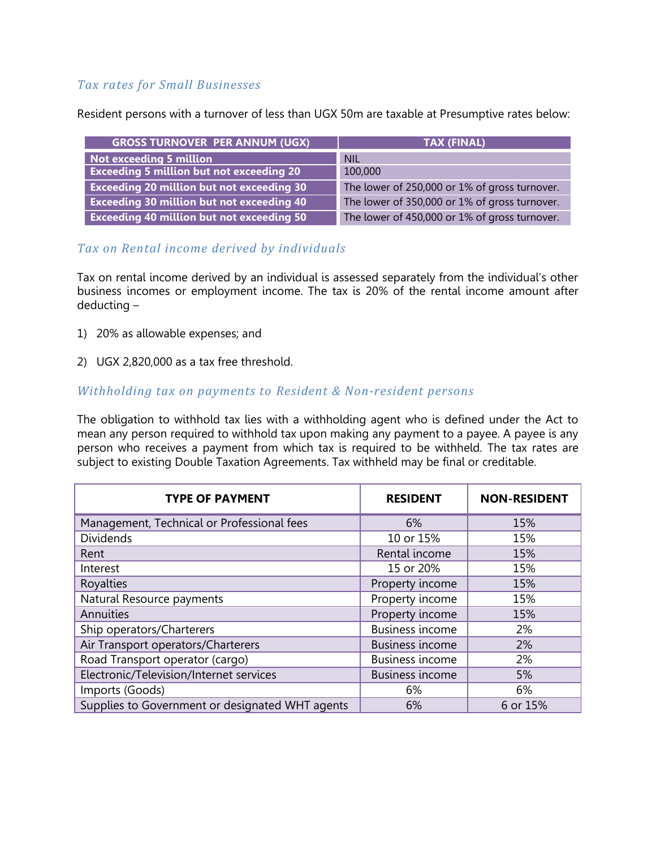### *Tax rates for Small Businesses*

Resident persons with a turnover of less than UGX 50m are taxable at Presumptive rates below:

| <b>GROSS TURNOVER PER ANNUM (UGX)</b>            | TAX (FINAL)                                   |
|--------------------------------------------------|-----------------------------------------------|
| Not exceeding 5 million                          | <b>NIL</b>                                    |
| <b>Exceeding 5 million but not exceeding 20</b>  | 100,000                                       |
| <b>Exceeding 20 million but not exceeding 30</b> | The lower of 250,000 or 1% of gross turnover. |
| <b>Exceeding 30 million but not exceeding 40</b> | The lower of 350,000 or 1% of gross turnover. |
| <b>Exceeding 40 million but not exceeding 50</b> | The lower of 450,000 or 1% of gross turnover. |

### *Tax on Rental income derived by individuals*

Tax on rental income derived by an individual is assessed separately from the individual's other business incomes or employment income. The tax is 20% of the rental income amount after deducting –

- 1) 20% as allowable expenses; and
- 2) UGX 2,820,000 as a tax free threshold.

#### *Withholding tax on payments to Resident & Non-resident persons*

The obligation to withhold tax lies with a withholding agent who is defined under the Act to mean any person required to withhold tax upon making any payment to a payee. A payee is any person who receives a payment from which tax is required to be withheld. The tax rates are subject to existing Double Taxation Agreements. Tax withheld may be final or creditable.

| <b>TYPE OF PAYMENT</b>                          | <b>RESIDENT</b>        | <b>NON-RESIDENT</b> |
|-------------------------------------------------|------------------------|---------------------|
| Management, Technical or Professional fees      | 6%                     | 15%                 |
| <b>Dividends</b>                                | 10 or 15%              | 15%                 |
| Rent                                            | Rental income          | 15%                 |
| Interest                                        | 15 or 20%              | 15%                 |
| Royalties                                       | Property income        | 15%                 |
| Natural Resource payments                       | Property income        | 15%                 |
| Annuities                                       | Property income        | 15%                 |
| Ship operators/Charterers                       | <b>Business income</b> | 2%                  |
| Air Transport operators/Charterers              | <b>Business income</b> | 2%                  |
| Road Transport operator (cargo)                 | <b>Business income</b> | 2%                  |
| Electronic/Television/Internet services         | <b>Business income</b> | 5%                  |
| Imports (Goods)                                 | 6%                     | 6%                  |
| Supplies to Government or designated WHT agents | 6%                     | 6 or 15%            |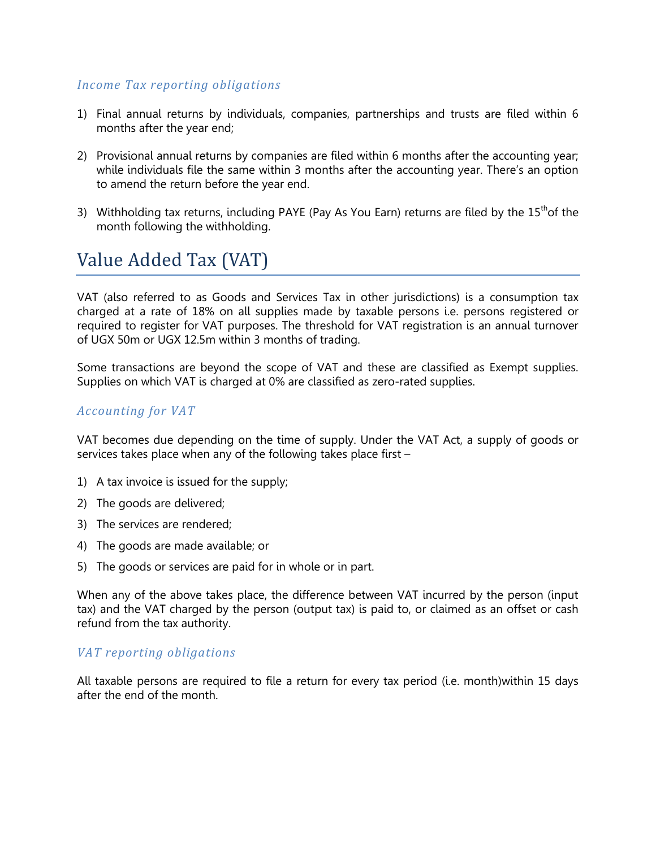### *Income Tax reporting obligations*

- 1) Final annual returns by individuals, companies, partnerships and trusts are filed within 6 months after the year end;
- 2) Provisional annual returns by companies are filed within 6 months after the accounting year; while individuals file the same within 3 months after the accounting year. There's an option to amend the return before the year end.
- 3) Withholding tax returns, including PAYE (Pay As You Earn) returns are filed by the  $15<sup>th</sup>$ of the month following the withholding.

# Value Added Tax (VAT)

VAT (also referred to as Goods and Services Tax in other jurisdictions) is a consumption tax charged at a rate of 18% on all supplies made by taxable persons i.e. persons registered or required to register for VAT purposes. The threshold for VAT registration is an annual turnover of UGX 50m or UGX 12.5m within 3 months of trading.

Some transactions are beyond the scope of VAT and these are classified as Exempt supplies. Supplies on which VAT is charged at 0% are classified as zero-rated supplies.

### *Accounting for VAT*

VAT becomes due depending on the time of supply. Under the VAT Act, a supply of goods or services takes place when any of the following takes place first –

- 1) A tax invoice is issued for the supply;
- 2) The goods are delivered;
- 3) The services are rendered;
- 4) The goods are made available; or
- 5) The goods or services are paid for in whole or in part.

When any of the above takes place, the difference between VAT incurred by the person (input tax) and the VAT charged by the person (output tax) is paid to, or claimed as an offset or cash refund from the tax authority.

#### *VAT reporting obligations*

All taxable persons are required to file a return for every tax period (i.e. month)within 15 days after the end of the month.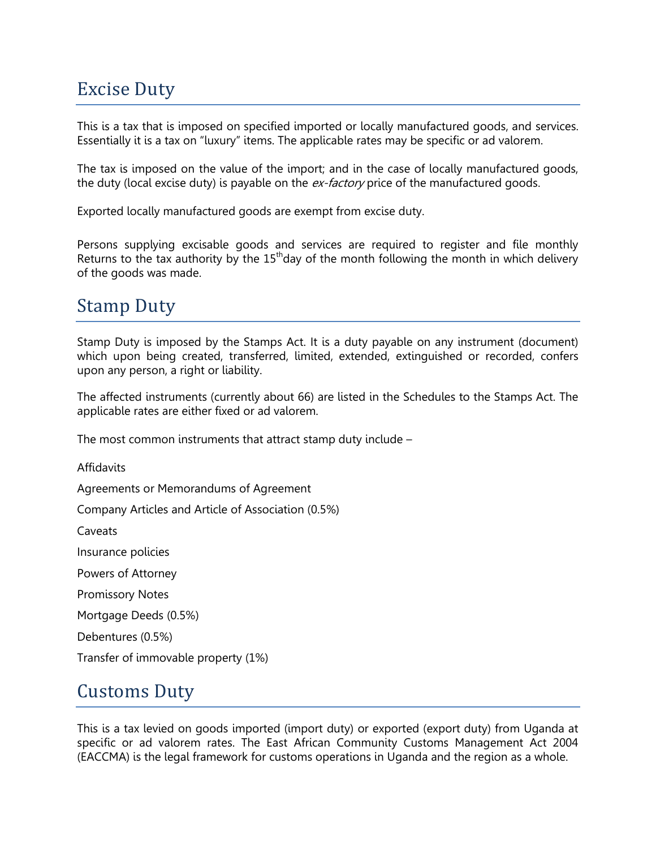# Excise Duty

This is a tax that is imposed on specified imported or locally manufactured goods, and services. Essentially it is a tax on "luxury" items. The applicable rates may be specific or ad valorem.

The tax is imposed on the value of the import; and in the case of locally manufactured goods, the duty (local excise duty) is payable on the ex-factory price of the manufactured goods.

Exported locally manufactured goods are exempt from excise duty.

Persons supplying excisable goods and services are required to register and file monthly Returns to the tax authority by the  $15<sup>th</sup>$ day of the month following the month in which delivery of the goods was made.

## Stamp Duty

Stamp Duty is imposed by the Stamps Act. It is a duty payable on any instrument (document) which upon being created, transferred, limited, extended, extinguished or recorded, confers upon any person, a right or liability.

The affected instruments (currently about 66) are listed in the Schedules to the Stamps Act. The applicable rates are either fixed or ad valorem.

The most common instruments that attract stamp duty include –

**Affidavits** 

Agreements or Memorandums of Agreement

Company Articles and Article of Association (0.5%)

Caveats

Insurance policies

Powers of Attorney

Promissory Notes

Mortgage Deeds (0.5%)

Debentures (0.5%)

Transfer of immovable property (1%)

### Customs Duty

This is a tax levied on goods imported (import duty) or exported (export duty) from Uganda at specific or ad valorem rates. The East African Community Customs Management Act 2004 (EACCMA) is the legal framework for customs operations in Uganda and the region as a whole.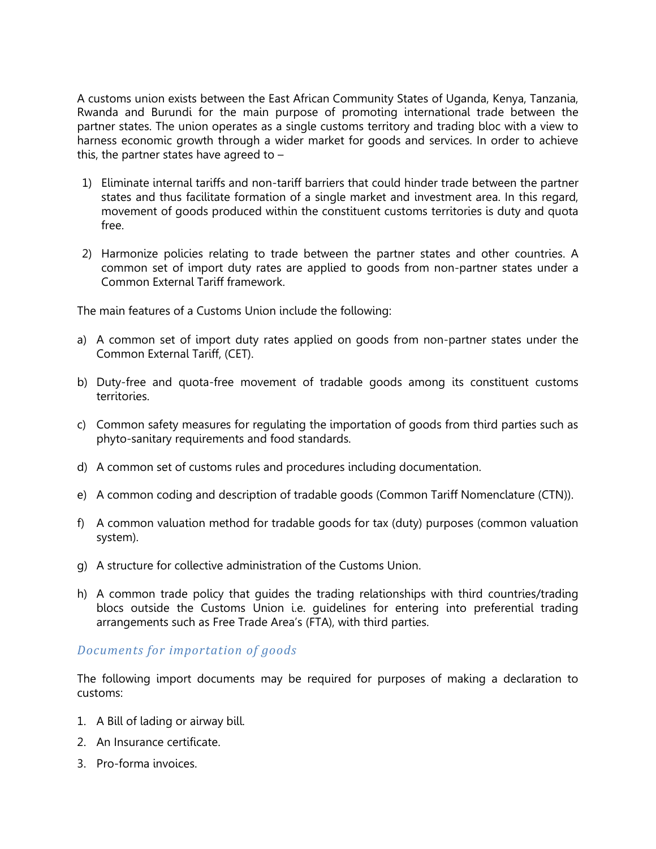A customs union exists between the East African Community States of Uganda, Kenya, Tanzania, Rwanda and Burundi for the main purpose of promoting international trade between the partner states. The union operates as a single customs territory and trading bloc with a view to harness economic growth through a wider market for goods and services. In order to achieve this, the partner states have agreed to  $-$ 

- 1) Eliminate internal tariffs and non-tariff barriers that could hinder trade between the partner states and thus facilitate formation of a single market and investment area. In this regard, movement of goods produced within the constituent customs territories is duty and quota free.
- 2) Harmonize policies relating to trade between the partner states and other countries. A common set of import duty rates are applied to goods from non-partner states under a Common External Tariff framework.

The main features of a Customs Union include the following:

- a) A common set of import duty rates applied on goods from non-partner states under the Common External Tariff, (CET).
- b) Duty-free and quota-free movement of tradable goods among its constituent customs territories.
- c) Common safety measures for regulating the importation of goods from third parties such as phyto-sanitary requirements and food standards.
- d) A common set of customs rules and procedures including documentation.
- e) A common coding and description of tradable goods (Common Tariff Nomenclature (CTN)).
- f) A common valuation method for tradable goods for tax (duty) purposes (common valuation system).
- g) A structure for collective administration of the Customs Union.
- h) A common trade policy that guides the trading relationships with third countries/trading blocs outside the Customs Union i.e. guidelines for entering into preferential trading arrangements such as Free Trade Area's (FTA), with third parties.

#### *Documents for importation of goods*

The following import documents may be required for purposes of making a declaration to customs:

- 1. A Bill of lading or airway bill.
- 2. An Insurance certificate.
- 3. Pro-forma invoices.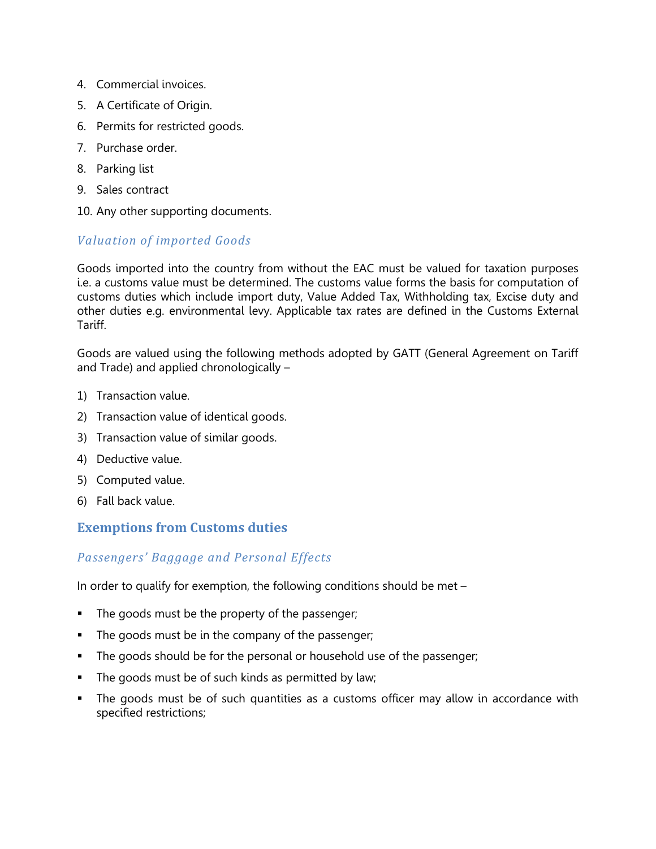- 4. Commercial invoices.
- 5. A Certificate of Origin.
- 6. Permits for restricted goods.
- 7. Purchase order.
- 8. Parking list
- 9. Sales contract
- 10. Any other supporting documents.

### *Valuation of imported Goods*

Goods imported into the country from without the EAC must be valued for taxation purposes i.e. a customs value must be determined. The customs value forms the basis for computation of customs duties which include import duty, Value Added Tax, Withholding tax, Excise duty and other duties e.g. environmental levy. Applicable tax rates are defined in the Customs External Tariff.

Goods are valued using the following methods adopted by GATT (General Agreement on Tariff and Trade) and applied chronologically –

- 1) Transaction value.
- 2) Transaction value of identical goods.
- 3) Transaction value of similar goods.
- 4) Deductive value.
- 5) Computed value.
- 6) Fall back value.

### **Exemptions from Customs duties**

### *Passengers' Baggage and Personal Effects*

In order to qualify for exemption, the following conditions should be met –

- The goods must be the property of the passenger;
- The goods must be in the company of the passenger;
- The goods should be for the personal or household use of the passenger;
- The goods must be of such kinds as permitted by law;
- The goods must be of such quantities as a customs officer may allow in accordance with specified restrictions;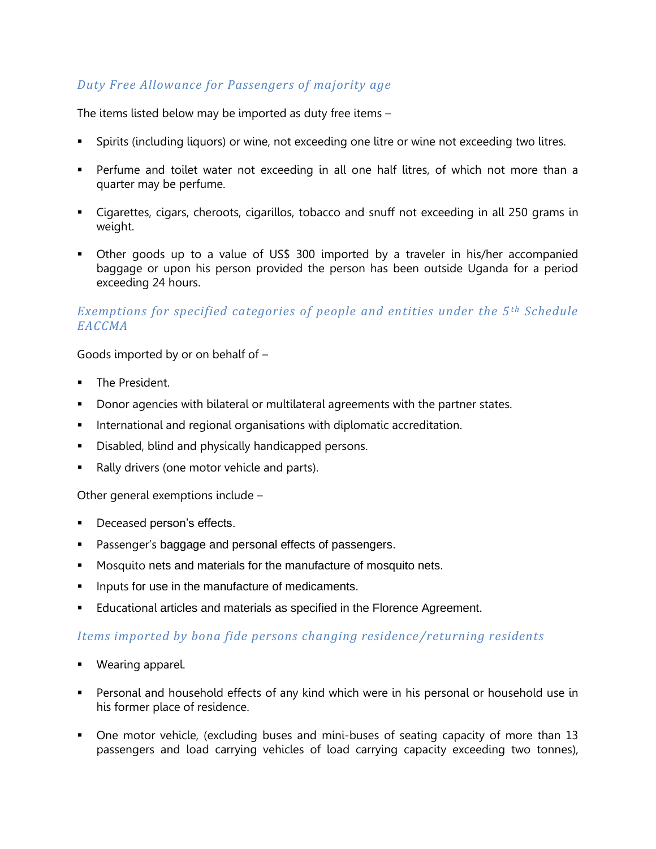### *Duty Free Allowance for Passengers of majority age*

The items listed below may be imported as duty free items –

- Spirits (including liquors) or wine, not exceeding one litre or wine not exceeding two litres.
- Perfume and toilet water not exceeding in all one half litres, of which not more than a quarter may be perfume.
- Cigarettes, cigars, cheroots, cigarillos, tobacco and snuff not exceeding in all 250 grams in weight.
- Other goods up to a value of US\$ 300 imported by a traveler in his/her accompanied baggage or upon his person provided the person has been outside Uganda for a period exceeding 24 hours.

### *Exemptions for specified categories of people and entities under the 5 th Schedule EACCMA*

Goods imported by or on behalf of –

- The President.
- Donor agencies with bilateral or multilateral agreements with the partner states.
- International and regional organisations with diplomatic accreditation.
- Disabled, blind and physically handicapped persons.
- Rally drivers (one motor vehicle and parts).

Other general exemptions include –

- Deceased person's effects.
- **Passenger's baggage and personal effects of passengers.**
- **Mosquito nets and materials for the manufacture of mosquito nets.**
- **IF Inputs for use in the manufacture of medicaments.**
- Educational articles and materials as specified in the Florence Agreement.

### *Items imported by bona fide persons changing residence /returning residents*

- Wearing apparel.
- Personal and household effects of any kind which were in his personal or household use in his former place of residence.
- One motor vehicle, (excluding buses and mini-buses of seating capacity of more than 13 passengers and load carrying vehicles of load carrying capacity exceeding two tonnes),